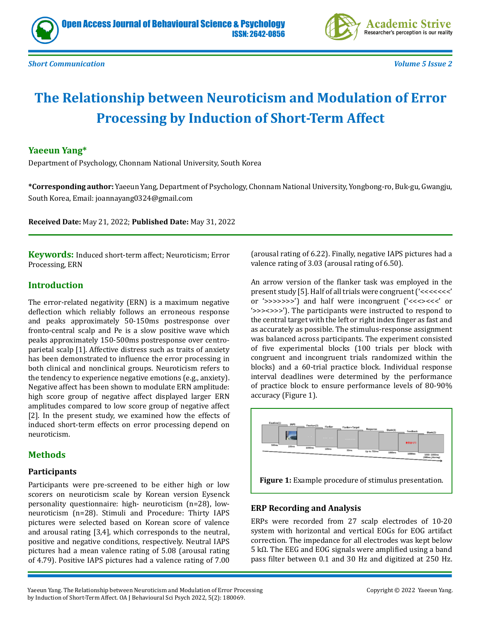



*Short Communication Volume 5 Issue 2*

# **The Relationship between Neuroticism and Modulation of Error Processing by Induction of Short-Term Affect**

## **Yaeeun Yang\***

Department of Psychology, Chonnam National University, South Korea

**\*Corresponding author:** Yaeeun Yang, Department of Psychology, Chonnam National University, Yongbong-ro, Buk-gu, Gwangju, South Korea, Email: joannayang0324@gmail.com

**Received Date:** May 21, 2022; **Published Date:** May 31, 2022

**Keywords:** Induced short-term affect; Neuroticism; Error Processing, ERN

## **Introduction**

The error-related negativity (ERN) is a maximum negative deflection which reliably follows an erroneous response and peaks approximately 50-150ms postresponse over fronto-central scalp and Pe is a slow positive wave which peaks approximately 150-500ms postresponse over centroparietal scalp [1]. Affective distress such as traits of anxiety has been demonstrated to influence the error processing in both clinical and nonclinical groups. Neuroticism refers to the tendency to experience negative emotions (e.g., anxiety). Negative affect has been shown to modulate ERN amplitude: high score group of negative affect displayed larger ERN amplitudes compared to low score group of negative affect [2]. In the present study, we examined how the effects of induced short-term effects on error processing depend on neuroticism.

## **Methods**

#### **Participants**

Participants were pre-screened to be either high or low scorers on neuroticism scale by Korean version Eysenck personality questionnaire: high- neuroticism (n=28), lowneuroticism (n=28). Stimuli and Procedure: Thirty IAPS pictures were selected based on Korean score of valence and arousal rating [3,4], which corresponds to the neutral, positive and negative conditions, respectively. Neutral IAPS pictures had a mean valence rating of 5.08 (arousal rating of 4.79). Positive IAPS pictures had a valence rating of 7.00

(arousal rating of 6.22). Finally, negative IAPS pictures had a valence rating of 3.03 (arousal rating of 6.50).

An arrow version of the flanker task was employed in the present study [5]. Half of all trials were congruent ('<<<<<<<' or '>>>>>>>') and half were incongruent ('<<<><<<' or '>>><>>>'). The participants were instructed to respond to the central target with the left or right index finger as fast and as accurately as possible. The stimulus-response assignment was balanced across participants. The experiment consisted of five experimental blocks (100 trials per block with congruent and incongruent trials randomized within the blocks) and a 60-trial practice block. Individual response interval deadlines were determined by the performance of practice block to ensure performance levels of 80-90% accuracy (Figure 1).



#### **ERP Recording and Analysis**

ERPs were recorded from 27 scalp electrodes of 10-20 system with horizontal and vertical EOGs for EOG artifact correction. The impedance for all electrodes was kept below 5 kΩ. The EEG and EOG signals were amplified using a band pass filter between 0.1 and 30 Hz and digitized at 250 Hz.